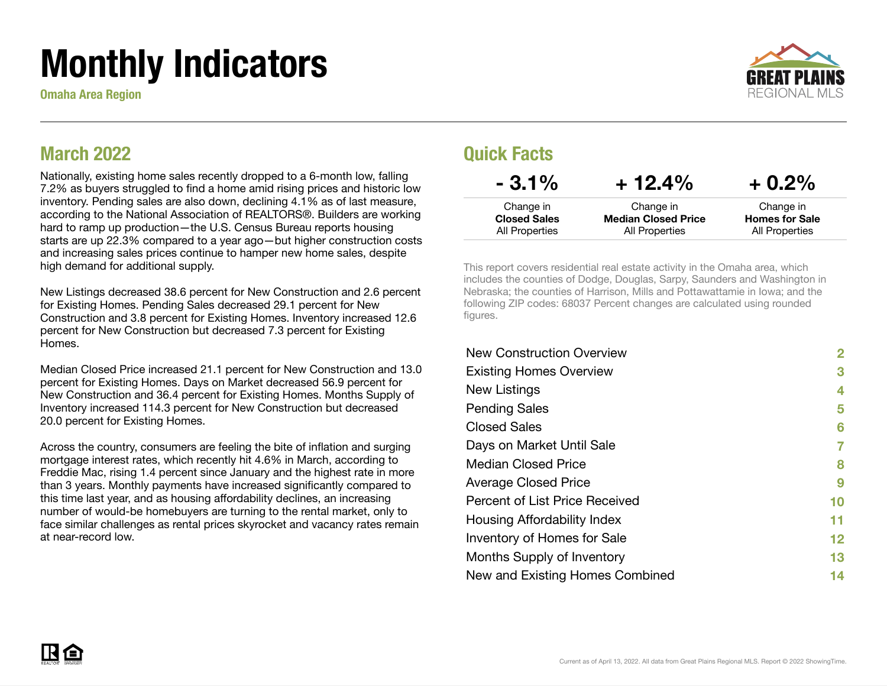# Monthly Indicators

Omaha Area Region



### March 2022

Nationally, existing home sales recently dropped to a 6-month low, falling 7.2% as buyers struggled to find a home amid rising prices and historic low inventory. Pending sales are also down, declining 4.1% as of last measure, according to the National Association of REALTORS®. Builders are working hard to ramp up production—the U.S. Census Bureau reports housing starts are up 22.3% compared to a year ago—but higher construction costs and increasing sales prices continue to hamper new home sales, despite high demand for additional supply.

New Listings decreased 38.6 percent for New Construction and 2.6 percent for Existing Homes. Pending Sales decreased 29.1 percent for New Construction and 3.8 percent for Existing Homes. Inventory increased 12.6 percent for New Construction but decreased 7.3 percent for Existing Homes.

Median Closed Price increased 21.1 percent for New Construction and 13.0 percent for Existing Homes. Days on Market decreased 56.9 percent for New Construction and 36.4 percent for Existing Homes. Months Supply of Inventory increased 114.3 percent for New Construction but decreased 20.0 percent for Existing Homes.

Across the country, consumers are feeling the bite of inflation and surging mortgage interest rates, which recently hit 4.6% in March, according to Freddie Mac, rising 1.4 percent since January and the highest rate in more than 3 years. Monthly payments have increased significantly compared to this time last year, and as housing affordability declines, an increasing number of would-be homebuyers are turning to the rental market, only to face similar challenges as rental prices skyrocket and vacancy rates remain at near-record low.

### Quick Facts

| $-3.1\%$            | $+12.4%$                   | $+0.2\%$              |
|---------------------|----------------------------|-----------------------|
| Change in           | Change in                  | Change in             |
| <b>Closed Sales</b> | <b>Median Closed Price</b> | <b>Homes for Sale</b> |
| All Properties      | All Properties             | All Properties        |

This report covers residential real estate activity in the Omaha area, which includes the counties of Dodge, Douglas, Sarpy, Saunders and Washington in Nebraska; the counties of Harrison, Mills and Pottawattamie in Iowa; and the following ZIP codes: 68037 Percent changes are calculated using rounded figures.

| <b>New Construction Overview</b> | 2  |
|----------------------------------|----|
| <b>Existing Homes Overview</b>   | 3  |
| New Listings                     | 4  |
| <b>Pending Sales</b>             | 5  |
| <b>Closed Sales</b>              | 6  |
| Days on Market Until Sale        | 7  |
| <b>Median Closed Price</b>       | 8  |
| <b>Average Closed Price</b>      | 9  |
| Percent of List Price Received   | 10 |
| Housing Affordability Index      | 11 |
| Inventory of Homes for Sale      | 12 |
| Months Supply of Inventory       | 13 |
| New and Existing Homes Combined  | 14 |

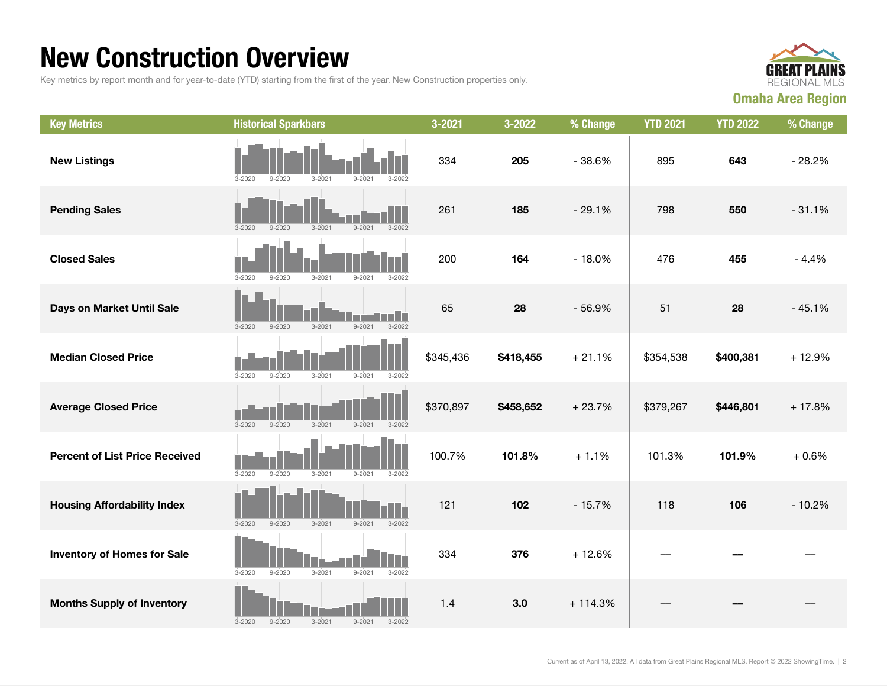### New Construction Overview

Key metrics by report month and for year-to-date (YTD) starting from the first of the year. New Construction properties only.



| <b>Key Metrics</b>                    | <b>Historical Sparkbars</b>                                        | 3-2021    | 3-2022    | % Change  | <b>YTD 2021</b> | <b>YTD 2022</b> | % Change |
|---------------------------------------|--------------------------------------------------------------------|-----------|-----------|-----------|-----------------|-----------------|----------|
| <b>New Listings</b>                   | $3 - 2020$<br>$9 - 2020$<br>$3 - 2021$<br>$9 - 202$<br>3-2022      | 334       | 205       | $-38.6%$  | 895             | 643             | $-28.2%$ |
| <b>Pending Sales</b>                  | $3 - 2021$<br>$9 - 2021$<br>$3 - 2022$<br>$3 - 2020$<br>$9 - 2020$ | 261       | 185       | $-29.1%$  | 798             | 550             | $-31.1%$ |
| <b>Closed Sales</b>                   | $3 - 2020$<br>$9 - 2020$<br>$3 - 2021$<br>$9 - 2021$<br>$3 - 2022$ | 200       | 164       | $-18.0%$  | 476             | 455             | $-4.4%$  |
| Days on Market Until Sale             | $3 - 2022$<br>$3 - 2020$<br>$9 - 2020$<br>$3 - 2021$<br>$9 - 2021$ | 65        | 28        | $-56.9%$  | 51              | 28              | $-45.1%$ |
| <b>Median Closed Price</b>            | $9 - 2020$<br>$3 - 2021$<br>$9 - 2021$<br>$3 - 2022$<br>$3 - 2020$ | \$345,436 | \$418,455 | $+21.1%$  | \$354,538       | \$400,381       | $+12.9%$ |
| <b>Average Closed Price</b>           | $3 - 2020$<br>$9 - 2020$<br>$3 - 2021$<br>$9 - 2021$<br>$3 - 2022$ | \$370,897 | \$458,652 | $+23.7%$  | \$379,267       | \$446,801       | $+17.8%$ |
| <b>Percent of List Price Received</b> | $3 - 2020$<br>$9 - 2020$<br>$3 - 2021$<br>$9 - 2021$<br>$3 - 2022$ | 100.7%    | 101.8%    | $+1.1%$   | 101.3%          | 101.9%          | $+0.6%$  |
| <b>Housing Affordability Index</b>    | $3 - 2020$<br>$9 - 2020$<br>$3 - 2021$<br>$9 - 2021$<br>$3 - 2022$ | 121       | 102       | $-15.7%$  | 118             | 106             | $-10.2%$ |
| <b>Inventory of Homes for Sale</b>    | $3 - 2021$<br>$3 - 2020$<br>$9 - 2020$<br>$9 - 2021$<br>$3 - 2022$ | 334       | 376       | $+12.6%$  |                 |                 |          |
| <b>Months Supply of Inventory</b>     | $3 - 2020$<br>$9 - 2020$<br>$3 - 2021$<br>$3 - 2022$<br>$9 - 2021$ | 1.4       | 3.0       | $+114.3%$ |                 |                 |          |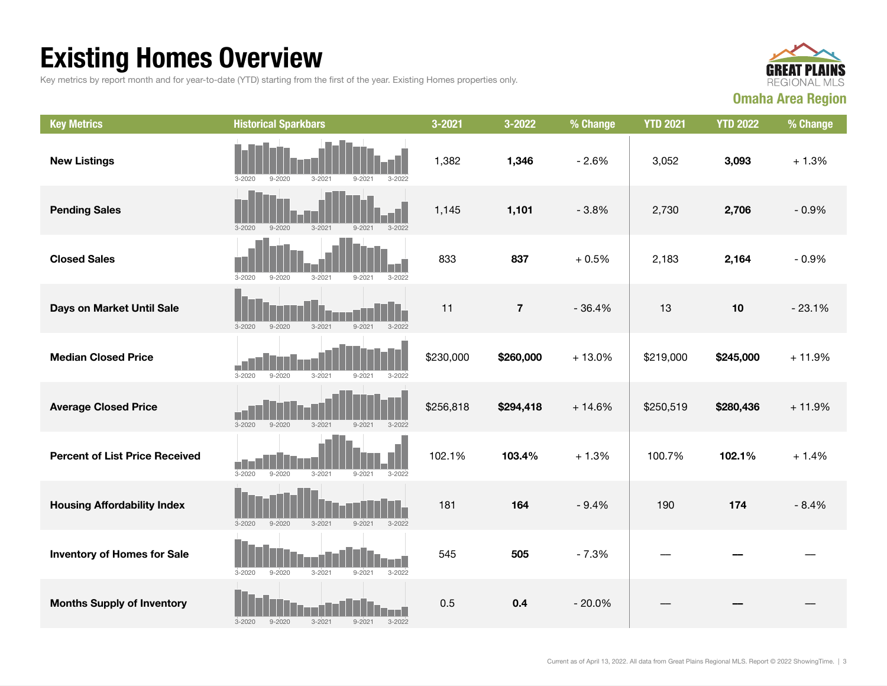## Existing Homes Overview

Key metrics by report month and for year-to-date (YTD) starting from the first of the year. Existing Homes properties only.



| <b>Key Metrics</b>                    | <b>Historical Sparkbars</b>                                             | 3-2021    | 3-2022    | % Change | <b>YTD 2021</b> | <b>YTD 2022</b> | % Change |
|---------------------------------------|-------------------------------------------------------------------------|-----------|-----------|----------|-----------------|-----------------|----------|
| <b>New Listings</b>                   | $3 - 2021$<br>$3 - 2020$<br>$9 - 2020$<br>$9 - 2021$<br>$3 - 2022$      | 1,382     | 1,346     | $-2.6%$  | 3,052           | 3,093           | $+1.3%$  |
| <b>Pending Sales</b>                  | $3 - 2021$<br>$3 - 2022$<br>$3 - 2020$<br>$9 - 2020$<br>$9 - 2021$      | 1,145     | 1,101     | $-3.8%$  | 2,730           | 2,706           | $-0.9%$  |
| <b>Closed Sales</b>                   | $3 - 2020$<br>$9 - 2020$<br>$3 - 2021$<br>$9 - 2021$<br>$3 - 2022$      | 833       | 837       | $+0.5%$  | 2,183           | 2,164           | $-0.9%$  |
| Days on Market Until Sale             | $3 - 2020$<br>$9 - 2020$<br>$3 - 2021$<br>$9 - 2021$<br>$3 - 2022$      | 11        | $\bf 7$   | $-36.4%$ | 13              | 10              | $-23.1%$ |
| <b>Median Closed Price</b>            | $3 - 2020$<br>$9 - 2020$<br>$3 - 2021$<br>$9 - 2021$<br>$3 - 2022$      | \$230,000 | \$260,000 | $+13.0%$ | \$219,000       | \$245,000       | $+11.9%$ |
| <b>Average Closed Price</b>           | $3 - 2020$<br>$9 - 2020$<br>$3 - 2021$<br>$9 - 2021$<br>$3 - 2022$      | \$256,818 | \$294,418 | $+14.6%$ | \$250,519       | \$280,436       | $+11.9%$ |
| <b>Percent of List Price Received</b> | $9 - 2020$<br>$3 - 2020$<br>$3 - 2021$<br>$3 - 2022$<br>$9 - 2021$      | 102.1%    | 103.4%    | $+1.3%$  | 100.7%          | 102.1%          | $+1.4%$  |
| <b>Housing Affordability Index</b>    | $3 - 2020$<br>$9 - 2020$<br>$3 - 2021$<br>$9 - 2021$<br>$3 - 2022$      | 181       | 164       | $-9.4%$  | 190             | 174             | $-8.4%$  |
| <b>Inventory of Homes for Sale</b>    | H<br>$9 - 2020$<br>$3 - 2021$<br>$9 - 2021$<br>$3 - 2022$<br>$3 - 2020$ | 545       | 505       | $-7.3%$  |                 |                 |          |
| <b>Months Supply of Inventory</b>     | $3 - 2021$<br>$3 - 2020$<br>$9 - 2020$<br>$9 - 2021$<br>$3 - 2022$      | 0.5       | 0.4       | $-20.0%$ |                 |                 |          |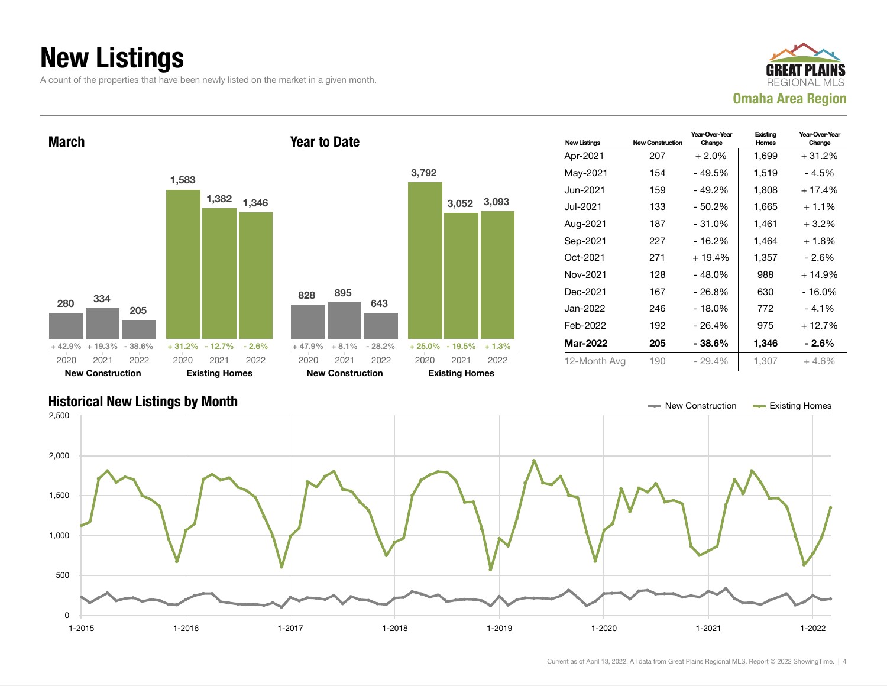### New Listings

A count of the properties that have been newly listed on the market in a given month.







Current as of April 13, 2022. All data from Great Plains Regional MLS. Report © 2022 ShowingTime. | 4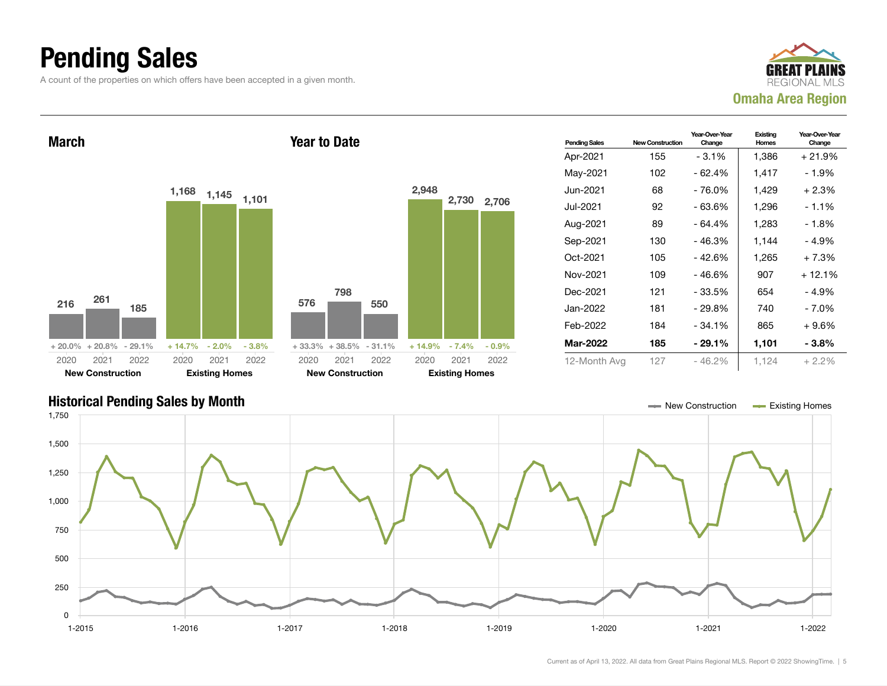### Pending Sales

A count of the properties on which offers have been accepted in a given month.



Pending Sales New Construction Year-Over-Year Change Existing Homes Year-Over-Year Change Apr-2021 155 - 3.1% 1,386 + 21.9% May-2021 102 - 62.4% 1,417 - 1.9% Jun-2021 68 - 76.0% 1,429 + 2.3% Jul-2021 92 - 63.6% 1,296 - 1.1% Aug-2021 89 - 64.4% 1,283 - 1.8% Sep-2021 130 - 46.3% 1,144 - 4.9% Oct-2021 105 - 42.6% 1,265 + 7.3% Nov-2021 109 - 46.6% 907 + 12.1% Dec-2021 121 - 33.5% 654 - 4.9% Jan-2022 181 - 29.8% 740 - 7.0% Feb-2022 184 - 34.1% 865 + 9.6% Mar-2022 185 - 29.1% 1,101 - 3.8% 12-Month Avg 127 - 46.2% 1,124 + 2.2% March <sup>216</sup> <sup>261</sup> 185 + 20.0% + 20.8% - 29.1%  $1,168$   $1,145$   $1,101$ + 14.7% - 2.0% - 3.8% 2020 New Construction 2021 2022 2020 Existing Homes 2021 2022 Year to Date 576 798 550 + 33.3% + 38.5% - 31.1% 2,948 2,730 2,706 + 14.9% - 7.4% - 0.9% 2020 New Construction 2021 2022 2020 Existing Homes 2021 2022

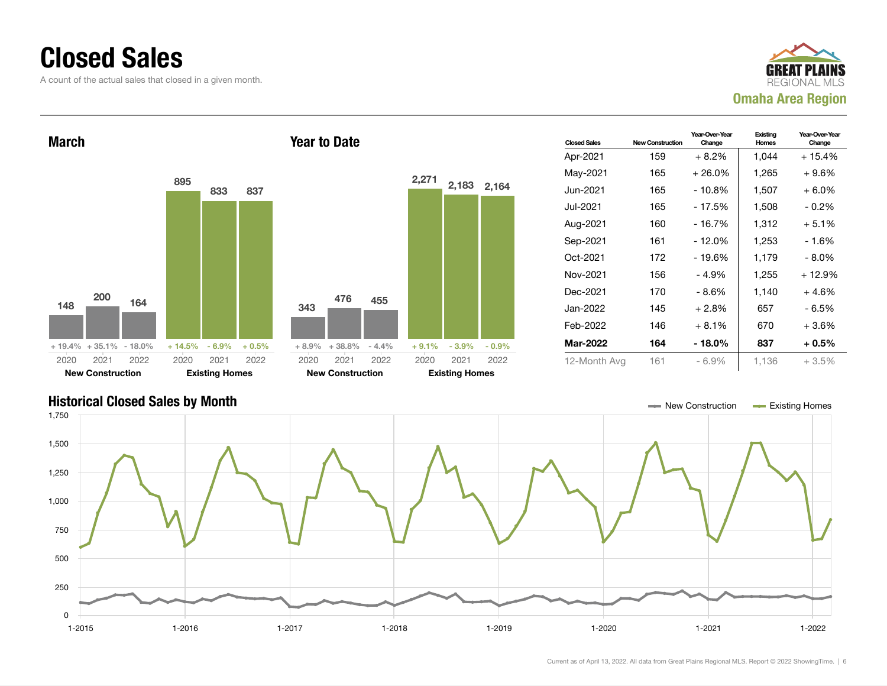### Closed Sales

A count of the actual sales that closed in a given month.





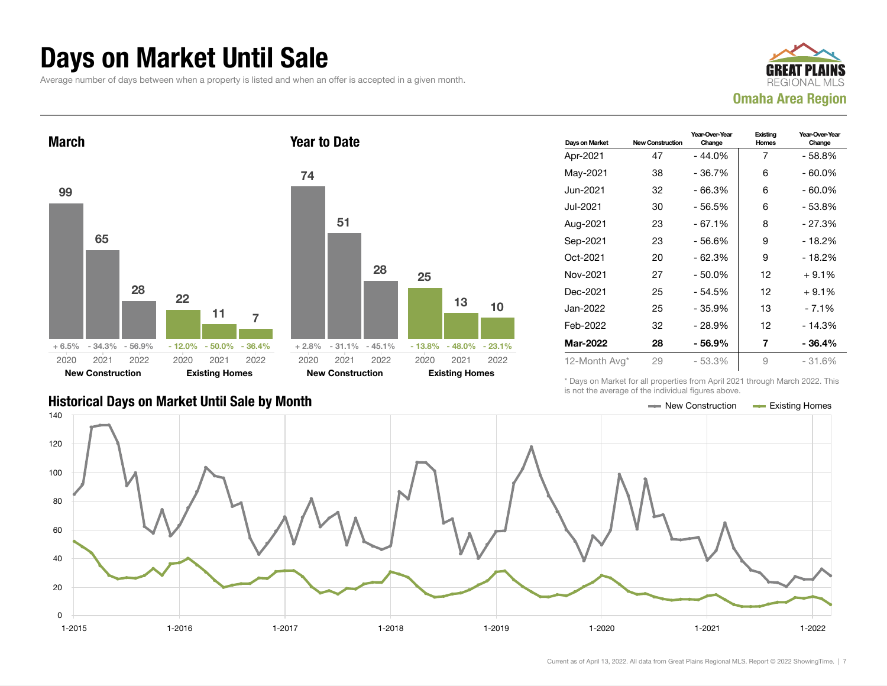### Days on Market Until Sale

Average number of days between when a property is listed and when an offer is accepted in a given month.





| 74   |                          |           |    |                             |    |
|------|--------------------------|-----------|----|-----------------------------|----|
|      | 51                       |           |    |                             |    |
|      |                          | 28        | 25 |                             |    |
|      |                          |           |    | 13                          | 10 |
|      |                          |           |    |                             |    |
|      | $+2.8\% -31.1\% -45.1\%$ |           |    | $-13.8\% - 48.0\% - 23.1\%$ |    |
| 2020 |                          | 2021 2022 |    | 2020 2021 2022              |    |
|      | <b>New Construction</b>  |           |    | <b>Existing Homes</b>       |    |

| Days on Market  | <b>New Construction</b> | Year-Over-Year<br>Change | Existing<br>Homes | Year-Over-Year<br>Change |
|-----------------|-------------------------|--------------------------|-------------------|--------------------------|
| Apr-2021        | 47                      | $-44.0%$                 | 7                 | - 58.8%                  |
| May-2021        | 38                      | $-36.7%$                 | 6                 | - 60.0%                  |
| Jun-2021        | 32                      | $-66.3%$                 | 6                 | $-60.0\%$                |
| Jul-2021        | 30                      | $-56.5%$                 | 6                 | - 53.8%                  |
| Aug-2021        | 23                      | $-67.1%$                 | 8                 | - 27.3%                  |
| Sep-2021        | 23                      | - 56.6%                  | 9                 | - 18.2%                  |
| Oct-2021        | 20                      | $-62.3%$                 | 9                 | - 18.2%                  |
| Nov-2021        | 27                      | $-50.0%$                 | 12                | $+9.1%$                  |
| Dec-2021        | 25                      | $-54.5%$                 | 12                | $+9.1%$                  |
| Jan-2022        | 25                      | $-35.9%$                 | 13                | $-7.1%$                  |
| Feb-2022        | 32                      | $-28.9%$                 | 12                | $-14.3%$                 |
| <b>Mar-2022</b> | 28                      | - 56.9%                  | 7                 | - 36.4%                  |
| 12-Month Avg*   | 29                      | $-53.3%$                 | 9                 | - 31.6%                  |

\* Days on Market for all properties from April 2021 through March 2022. This is not the average of the individual figures above.

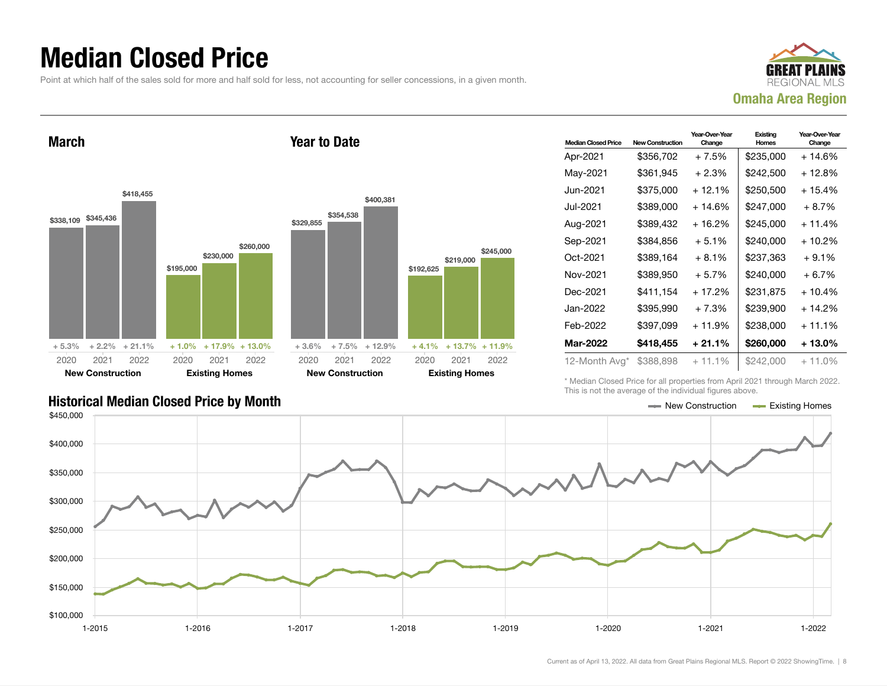### Median Closed Price

Point at which half of the sales sold for more and half sold for less, not accounting for seller concessions, in a given month.

Year to Date



March



| <b>Median Closed Price</b> | New Construction | Year-Over-Year<br>Change | Existing<br>Homes | Year-Over-Year<br>Change |
|----------------------------|------------------|--------------------------|-------------------|--------------------------|
| Apr-2021                   | \$356,702        | $+7.5%$                  | \$235,000         | + 14.6%                  |
| May-2021                   | \$361,945        | $+2.3%$                  | \$242,500         | $+12.8%$                 |
| Jun-2021                   | \$375,000        | + 12.1%                  | \$250.500         | $+15.4%$                 |
| Jul-2021                   | \$389,000        | + 14.6%                  | \$247,000         | $+8.7%$                  |
| Aug-2021                   | \$389,432        | + 16.2%                  | \$245,000         | $+11.4%$                 |
| Sep-2021                   | \$384,856        | $+5.1%$                  | \$240,000         | + 10.2%                  |
| Oct-2021                   | \$389.164        | $+8.1%$                  | \$237,363         | $+9.1%$                  |
| Nov-2021                   | \$389,950        | $+5.7%$                  | \$240,000         | $+6.7%$                  |
| Dec-2021                   | \$411,154        | $+17.2%$                 | \$231,875         | $+10.4%$                 |
| Jan-2022                   | \$395,990        | $+7.3%$                  | \$239,900         | $+14.2%$                 |
| Feb-2022                   | \$397,099        | $+11.9%$                 | \$238,000         | $+11.1\%$                |
| Mar-2022                   | \$418,455        | + 21.1%                  | \$260,000         | $+13.0\%$                |
| 12-Month Avg*              | \$388,898        | $+11.1%$                 | \$242,000         | $+11.0\%$                |

Historical Median Closed Price by Month **New Construction Accord Price by Month** New Construction Accord Existing Homes

\* Median Closed Price for all properties from April 2021 through March 2022. This is not the average of the individual figures above.



\$219,000

2021 2022

\$245,000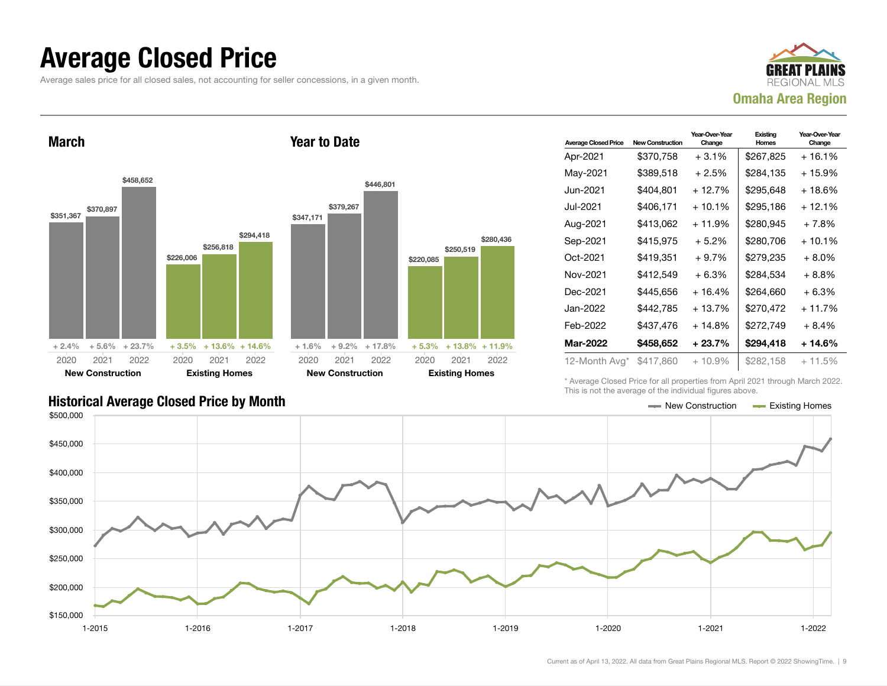### Average Closed Price

Average sales price for all closed sales, not accounting for seller concessions, in a given month.



March



Year to Date

| <b>Average Closed Price</b> | <b>New Construction</b> | Year-Over-Year<br>Change | Existing<br>Homes | Year-Over-Year<br>Change |
|-----------------------------|-------------------------|--------------------------|-------------------|--------------------------|
| Apr-2021                    | \$370,758               | $+3.1%$                  | \$267,825         | $+16.1%$                 |
| May-2021                    | \$389,518               | $+2.5%$                  | \$284.135         | $+15.9%$                 |
| Jun-2021 <b>.</b>           | \$404,801               | $+12.7%$                 | \$295,648         | $+18.6%$                 |
| Jul-2021                    | \$406,171               | $+10.1%$                 | \$295,186         | $+12.1%$                 |
| Aug-2021                    | \$413,062               | + 11.9%                  | \$280,945         | $+7.8%$                  |
| Sep-2021                    | \$415,975               | $+5.2%$                  | \$280.706         | $+10.1%$                 |
| Oct-2021                    | \$419,351               | $+9.7%$                  | \$279,235         | + 8.0%                   |
| Nov-2021                    | \$412.549               | $+6.3%$                  | \$284.534         | $+8.8%$                  |
| Dec-2021                    | \$445,656               | $+16.4%$                 | \$264.660         | $+6.3%$                  |
| Jan-2022                    | \$442,785               | $+13.7%$                 | \$270,472         | $+11.7%$                 |
| Feb-2022                    | \$437,476               | + 14.8%                  | \$272,749         | $+8.4%$                  |
| <b>Mar-2022</b>             | \$458,652               | + 23.7%                  | \$294,418         | + 14.6%                  |
| 12-Month Avg*               | \$417,860               | $+10.9\%$                | \$282,158         | $+11.5%$                 |

\* Average Closed Price for all properties from April 2021 through March 2022. This is not the average of the individual figures above.

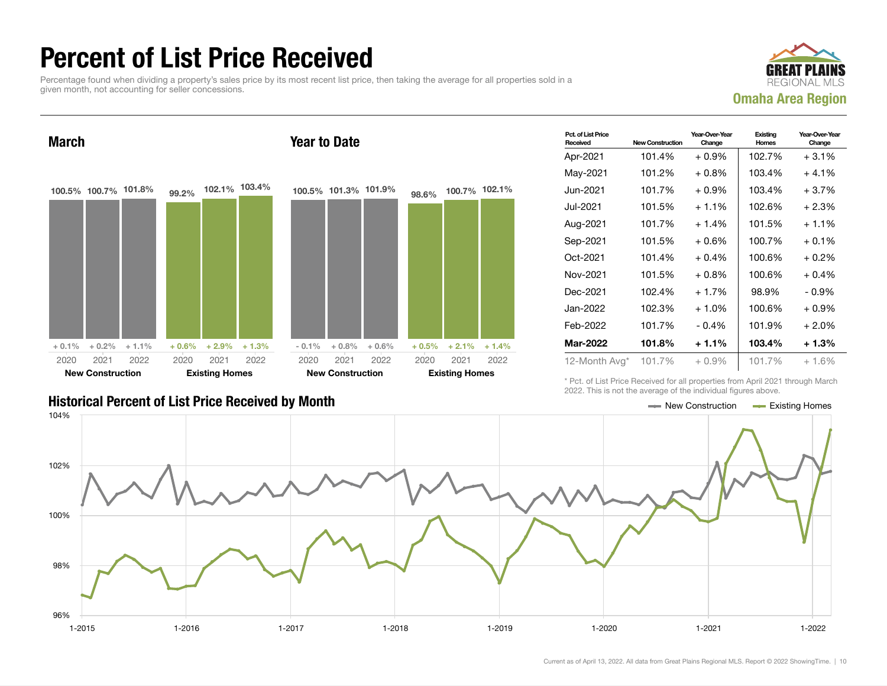### Percent of List Price Received

Percentage found when dividing a property's sales price by its most recent list price, then taking the average for all properties sold in a given month, not accounting for seller concessions.



March 100.5% 100.7% 101.8%  $+ 0.1\% + 0.2\% + 1.1\%$ 99.2% 102.1% 103.4%  $+ 0.6\% + 2.9\% + 1.3\%$ 2020 New Construction 2021 2022 2020 Existing Homes 2021 2022 Year to Date 100.5% 101.3% 101.9%  $-0.1\% + 0.8\% + 0.6\%$ 98.6% 100.7% 102.1%  $+ 0.5\% + 2.1\% + 1.4\%$ 2020 New Construction 2021 2022 2020 Existing Homes 2021 2022

| Pct. of List Price<br>Received | <b>New Construction</b> | Year-Over-Year<br>Change | Existing<br>Homes | Year-Over-Year<br>Change |
|--------------------------------|-------------------------|--------------------------|-------------------|--------------------------|
| Apr-2021                       | 101.4%                  | $+0.9%$                  | 102.7%            | $+3.1%$                  |
| May-2021                       | 101.2%                  | $+0.8%$                  | 103.4%            | $+4.1%$                  |
| Jun-2021.                      | 101.7%                  | $+0.9%$                  | 103.4%            | $+3.7%$                  |
| Jul-2021                       | 101.5%                  | $+1.1%$                  | 102.6%            | $+2.3%$                  |
| Aug-2021                       | 101.7%                  | $+1.4%$                  | 101.5%            | $+1.1%$                  |
| Sep-2021                       | 101.5%                  | $+0.6%$                  | 100.7%            | $+0.1%$                  |
| Oct-2021                       | 101.4%                  | $+0.4%$                  | 100.6%            | $+0.2%$                  |
| Nov-2021                       | 101.5%                  | $+0.8\%$                 | 100.6%            | $+0.4%$                  |
| Dec-2021                       | 102.4%                  | $+1.7%$                  | 98.9%             | - 0.9%                   |
| Jan-2022                       | 102.3%                  | $+1.0%$                  | 100.6%            | $+0.9%$                  |
| Feb-2022                       | 101.7%                  | $-0.4%$                  | 101.9%            | $+2.0%$                  |
| Mar-2022                       | 101.8%                  | $+1.1%$                  | 103.4%            | $+1.3%$                  |
| 12-Month Avg*                  | 101.7%                  | $+0.9\%$                 | 101.7%            | $+1.6%$                  |

\* Pct. of List Price Received for all properties from April 2021 through March 2022. This is not the average of the individual figures above.

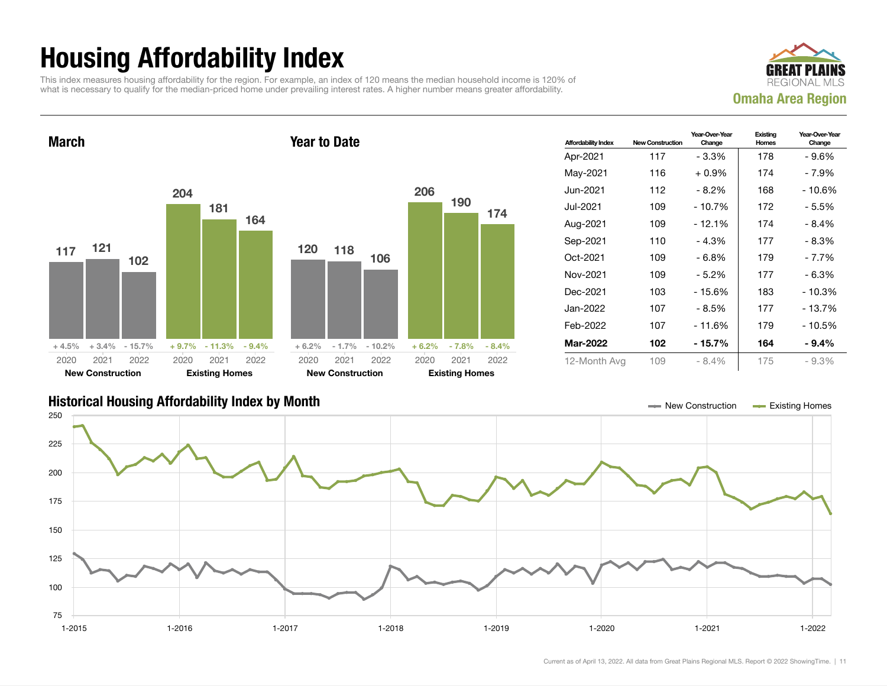## Housing Affordability Index

This index measures housing affordability for the region. For example, an index of 120 means the median household income is 120% of what is necessary to qualify for the median-priced home under prevailing interest rates. A higher number means greater affordability.



March 117 121 102  $+4.5\%$   $+3.4\%$  - 15.7% 204 181 164 + 9.7% - 11.3% - 9.4% 2020 New Construction 2021 2022 2020 Existing Homes 2021 2022 Year to Date 120 118 106 + 6.2% - 1.7% - 10.2% 206 190 + 6.2% - 7.8% - 8.4% 2020 New Construction 2021 2022 2020 Existing Homes 2021 2022

| <b>Affordability Index</b> | <b>New Construction</b> | Year-Over-Year<br>Change | Existing<br>Homes | Year-Over-Year<br>Change |
|----------------------------|-------------------------|--------------------------|-------------------|--------------------------|
| Apr-2021                   | 117                     | - 3.3%                   | 178               | - 9.6%                   |
| May-2021                   | 116                     | $+0.9\%$                 | 174               | - 7.9%                   |
| Jun-2021.                  | 112                     | - 8.2%                   | 168               | - 10.6%                  |
| Jul-2021                   | 109                     | $-10.7%$                 | 172               | - 5.5%                   |
| Aug-2021                   | 109                     | $-12.1%$                 | 174               | $-8.4%$                  |
| Sep-2021                   | 110                     | $-4.3%$                  | 177               | - 8.3%                   |
| Oct-2021                   | 109                     | $-6.8%$                  | 179               | $-7.7%$                  |
| Nov-2021                   | 109                     | - 5.2%                   | 177               | $-6.3%$                  |
| Dec-2021                   | 103                     | - 15.6%                  | 183               | - 10.3%                  |
| Jan-2022                   | 107                     | $-8.5%$                  | 177               | $-13.7%$                 |
| Feb-2022                   | 107                     | $-11.6%$                 | 179               | - 10.5%                  |
| Mar-2022                   | 102                     | - 15.7%                  | 164               | $-9.4%$                  |
| 12-Month Avg               | 109                     | $-8.4%$                  | 175               | $-9.3%$                  |

### Historical Housing Affordability Index by Month New Construction Existing Homes



174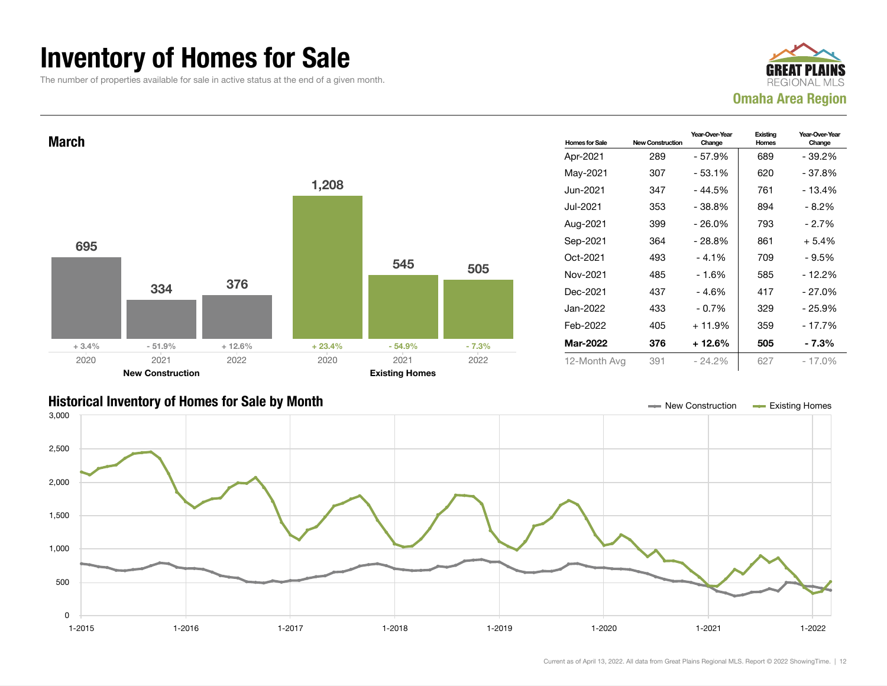### Inventory of Homes for Sale

The number of properties available for sale in active status at the end of a given month.

![](_page_11_Picture_2.jpeg)

![](_page_11_Figure_3.jpeg)

![](_page_11_Figure_4.jpeg)

![](_page_11_Figure_5.jpeg)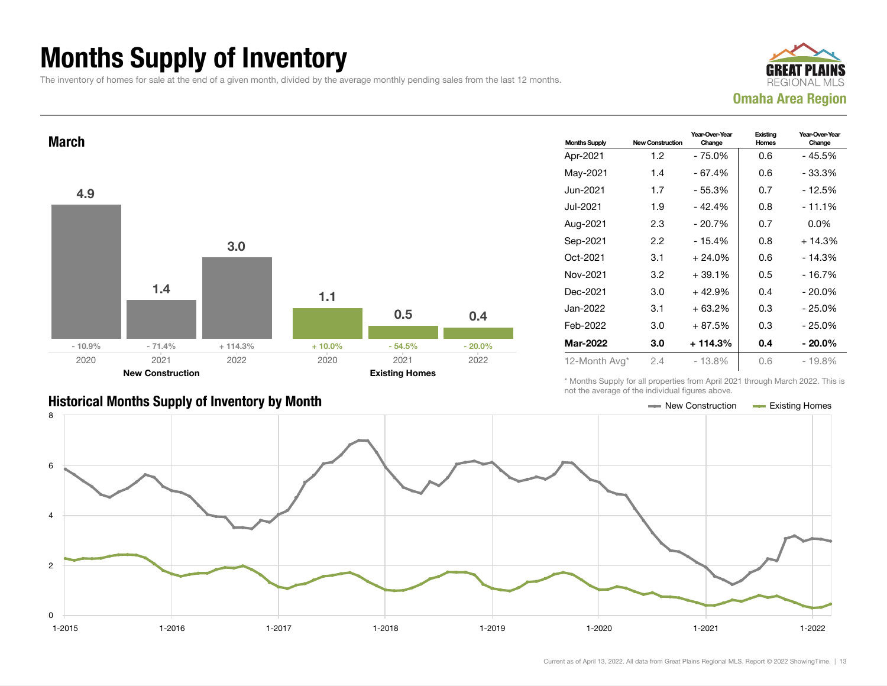## Months Supply of Inventory

The inventory of homes for sale at the end of a given month, divided by the average monthly pending sales from the last 12 months.

![](_page_12_Picture_2.jpeg)

![](_page_12_Figure_3.jpeg)

### Historical Months Supply of Inventory by Month Month New York 1997 New Construction Access Existing Homes

| <b>Months Supply</b> | <b>New Construction</b> | Year-Over-Year<br>Change | Existing<br>Homes | Year-Over-Year<br>Change |
|----------------------|-------------------------|--------------------------|-------------------|--------------------------|
| Apr-2021             | 1.2                     | - 75.0%                  | 0.6               | - 45.5%                  |
| May-2021             | 1.4                     | - 67.4%                  | 0.6               | - 33.3%                  |
| Jun-2021.            | 1.7                     | $-55.3%$                 | 0.7               | - 12.5%                  |
| Jul-2021             | 1.9                     | $-42.4%$                 | 0.8               | $-11.1%$                 |
| Aug-2021             | 2.3                     | - 20.7%                  | 0.7               | $0.0\%$                  |
| Sep-2021             | 2.2                     | $-15.4%$                 | 0.8               | $+14.3%$                 |
| Oct-2021             | 3.1                     | $+24.0%$                 | 0.6               | $-14.3%$                 |
| Nov-2021             | 3.2                     | $+39.1%$                 | 0.5               | - 16.7%                  |
| Dec-2021             | 3.0                     | $+42.9%$                 | 0.4               | $-20.0%$                 |
| Jan-2022             | 3.1                     | $+63.2%$                 | 0.3               | $-25.0%$                 |
| Feb-2022             | 3.0                     | + 87.5%                  | 0.3               | $-25.0%$                 |
| <b>Mar-2022</b>      | 3.0                     | + 114.3%                 | 0.4               | - 20.0%                  |
| 12-Month Avg*        | 2.4                     | $-13.8%$                 | 0.6               | $-19.8%$                 |

\* Months Supply for all properties from April 2021 through March 2022. This is not the average of the individual figures above.

![](_page_12_Figure_7.jpeg)